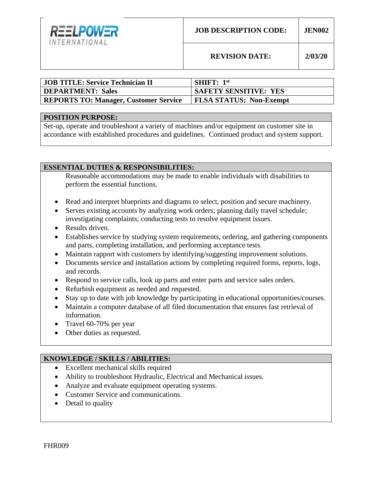

**REVISION DATE: 2/03/20**

| JOB TITLE: Service Technician II             | <b>SHIFT:</b> $1st$            |
|----------------------------------------------|--------------------------------|
| <b>DEPARTMENT: Sales</b>                     | <b>SAFETY SENSITIVE: YES</b>   |
| <b>REPORTS TO: Manager, Customer Service</b> | <b>FLSA STATUS: Non-Exempt</b> |

#### **POSITION PURPOSE:**

Set-up, operate and troubleshoot a variety of machines and/or equipment on customer site in accordance with established procedures and guidelines. Continued product and system support.

## **ESSENTIAL DUTIES & RESPONSIBILITIES:**

Reasonable accommodations may be made to enable individuals with disabilities to perform the essential functions.

- Read and interpret blueprints and diagrams to select, position and secure machinery.
- Serves existing accounts by analyzing work orders; planning daily travel schedule; investigating complaints; conducting tests to resolve equipment issues.
- Results driven.
- Establishes service by studying system requirements, ordering, and gathering components and parts, completing installation, and performing acceptance tests.
- Maintain rapport with customers by identifying/suggesting improvement solutions.
- Documents service and installation actions by completing required forms, reports, logs, and records.
- Respond to service calls, look up parts and enter parts and service sales orders.
- Refurbish equipment as needed and requested.
- Stay up to date with job knowledge by participating in educational opportunities/courses.
- Maintain a computer database of all filed documentation that ensures fast retrieval of information.
- Travel 60-70% per year
- Other duties as requested.

#### **KNOWLEDGE / SKILLS / ABILITIES:**

- Excellent mechanical skills required
- Ability to troubleshoot Hydraulic, Electrical and Mechanical issues.
- Analyze and evaluate equipment operating systems.
- Customer Service and communications.
- Detail to quality